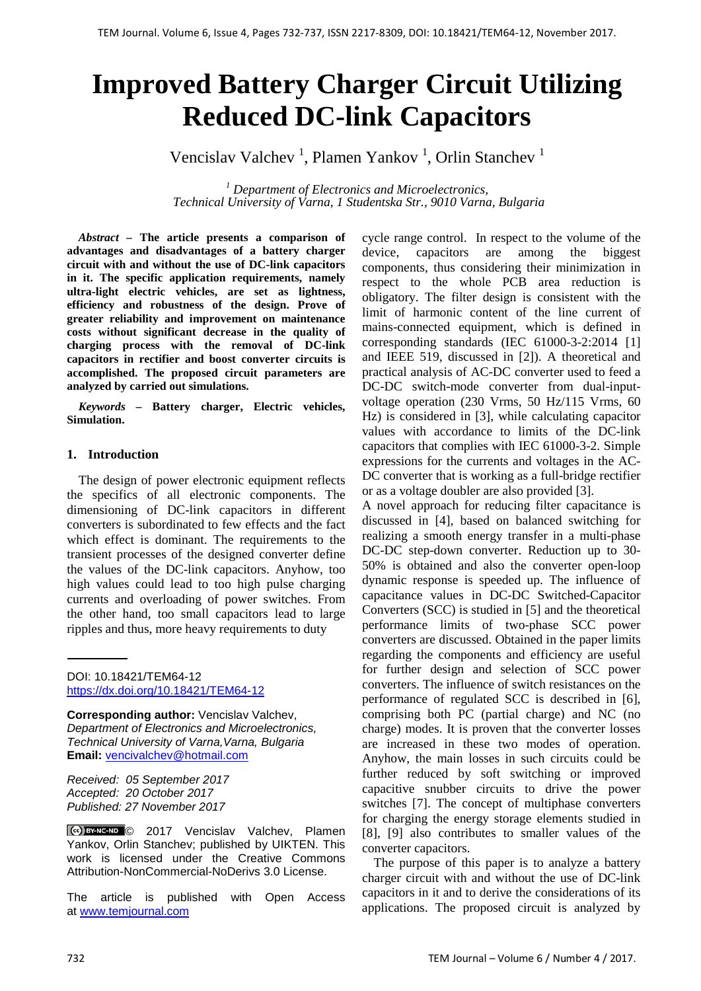# **Improved Battery Charger Circuit Utilizing Reduced DC-link Capacitors**

Vencislav Valchev<sup>1</sup>, Plamen Yankov<sup>1</sup>, Orlin Stanchev<sup>1</sup>

*<sup>1</sup> Department of Electronics and Microelectronics, Technical University of Varna, 1 Studentska Str., 9010 Varna, Bulgaria*

*Abstract –* **The article presents a comparison of advantages and disadvantages of a battery charger circuit with and without the use of DC-link capacitors in it. The specific application requirements, namely ultra-light electric vehicles, are set as lightness, efficiency and robustness of the design. Prove of greater reliability and improvement on maintenance costs without significant decrease in the quality of charging process with the removal of DC-link capacitors in rectifier and boost converter circuits is accomplished. The proposed circuit parameters are analyzed by carried out simulations.**

*Keywords –* **Battery charger, Electric vehicles, Simulation.**

## **1. Introduction**

The design of power electronic equipment reflects the specifics of all electronic components. The dimensioning of DC-link capacitors in different converters is subordinated to few effects and the fact which effect is dominant. The requirements to the transient processes of the designed converter define the values of the DC-link capacitors. Anyhow, too high values could lead to too high pulse charging currents and overloading of power switches. From the other hand, too small capacitors lead to large ripples and thus, more heavy requirements to duty

DOI: 10.18421/TEM64-12 <https://dx.doi.org/10.18421/TEM64-12>

**Corresponding author:** Vencislav Valchev, *Department of Electronics and Microelectronics,* **Technical University of Varna, Varna, Bulgaria Email:** vencivalchev@hotmail.com

*Received: 05 September 2017 Accepted: 20 October 2017 Published: 27 November 2017*

CC BY-NC-ND © 2017 Vencislav Valchev, Plamen Yankov, Orlin Stanchev; published by UIKTEN. This work is licensed under the Creative Commons Attribution-NonCommercial-NoDerivs 3.0 License.

The article is published with Open Access at [www.temjournal.com](http://www.temjournal.com/)

cycle range control. In respect to the volume of the device, capacitors are among the biggest components, thus considering their minimization in respect to the whole PCB area reduction is obligatory. The filter design is consistent with the limit of harmonic content of the line current of mains-connected equipment, which is defined in corresponding standards (IEC 61000-3-2:2014 [1] and IEEE 519, discussed in [2]). A theoretical and practical analysis of AC-DC converter used to feed a DC-DC switch-mode converter from dual-inputvoltage operation (230 Vrms, 50 Hz/115 Vrms, 60 Hz) is considered in [3], while calculating capacitor values with accordance to limits of the DC-link capacitors that complies with IEC 61000-3-2. Simple expressions for the currents and voltages in the AC-DC converter that is working as a full-bridge rectifier or as a voltage doubler are also provided [3].

A novel approach for reducing filter capacitance is discussed in [4], based on balanced switching for realizing a smooth energy transfer in a multi-phase DC-DC step-down converter. Reduction up to 30- 50% is obtained and also the converter open-loop dynamic response is speeded up. The influence of capacitance values in DC-DC Switched-Capacitor Converters (SCC) is studied in [5] and the theoretical performance limits of two-phase SCC power converters are discussed. Obtained in the paper limits regarding the components and efficiency are useful for further design and selection of SCC power converters. The influence of switch resistances on the performance of regulated SCC is described in [6], comprising both PC (partial charge) and NC (no charge) modes. It is proven that the converter losses are increased in these two modes of operation. Anyhow, the main losses in such circuits could be further reduced by soft switching or improved capacitive snubber circuits to drive the power switches [7]. The concept of multiphase converters for charging the energy storage elements studied in [8], [9] also contributes to smaller values of the converter capacitors.

The purpose of this paper is to analyze a battery charger circuit with and without the use of DC-link capacitors in it and to derive the considerations of its applications. The proposed circuit is analyzed by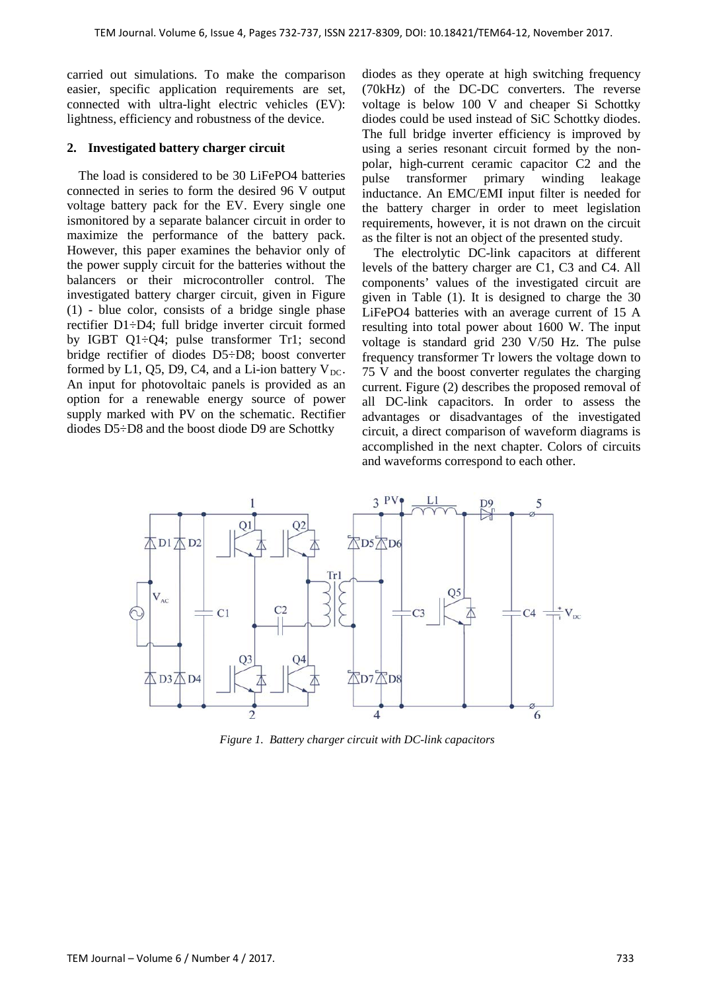carried out simulations. To make the comparison easier, specific application requirements are set, connected with ultra-light electric vehicles (EV): lightness, efficiency and robustness of the device.

## **2. Investigated battery charger circuit**

The load is considered to be 30 LiFePO4 batteries connected in series to form the desired 96 V output voltage battery pack for the EV. Every single one ismonitored by a separate balancer circuit in order to maximize the performance of the battery pack. However, this paper examines the behavior only of the power supply circuit for the batteries without the balancers or their microcontroller control. The investigated battery charger circuit, given in Figure (1) - blue color, consists of a bridge single phase rectifier D1÷D4; full bridge inverter circuit formed by IGBT Q1÷Q4; pulse transformer Tr1; second bridge rectifier of diodes D5÷D8; boost converter formed by L1, Q5, D9, C4, and a Li-ion battery  $V_{DC}$ . An input for photovoltaic panels is provided as an option for a renewable energy source of power supply marked with PV on the schematic. Rectifier diodes D5÷D8 and the boost diode D9 are Schottky

diodes as they operate at high switching frequency (70kHz) of the DC-DC converters. The reverse voltage is below 100 V and cheaper Si Schottky diodes could be used instead of SiC Schottky diodes. The full bridge inverter efficiency is improved by using a series resonant circuit formed by the nonpolar, high-current ceramic capacitor C2 and the pulse transformer primary winding leakage inductance. An EMC/EMI input filter is needed for the battery charger in order to meet legislation requirements, however, it is not drawn on the circuit as the filter is not an object of the presented study.

The electrolytic DC-link capacitors at different levels of the battery charger are C1, C3 and C4. All components' values of the investigated circuit are given in Table (1). It is designed to charge the 30 LiFePO4 batteries with an average current of 15 A resulting into total power about 1600 W. The input voltage is standard grid 230 V/50 Hz. The pulse frequency transformer Tr lowers the voltage down to 75 V and the boost converter regulates the charging current. Figure (2) describes the proposed removal of all DC-link capacitors. In order to assess the advantages or disadvantages of the investigated circuit, a direct comparison of waveform diagrams is accomplished in the next chapter. Colors of circuits and waveforms correspond to each other.



*Figure 1. Battery charger circuit with DC-link capacitors*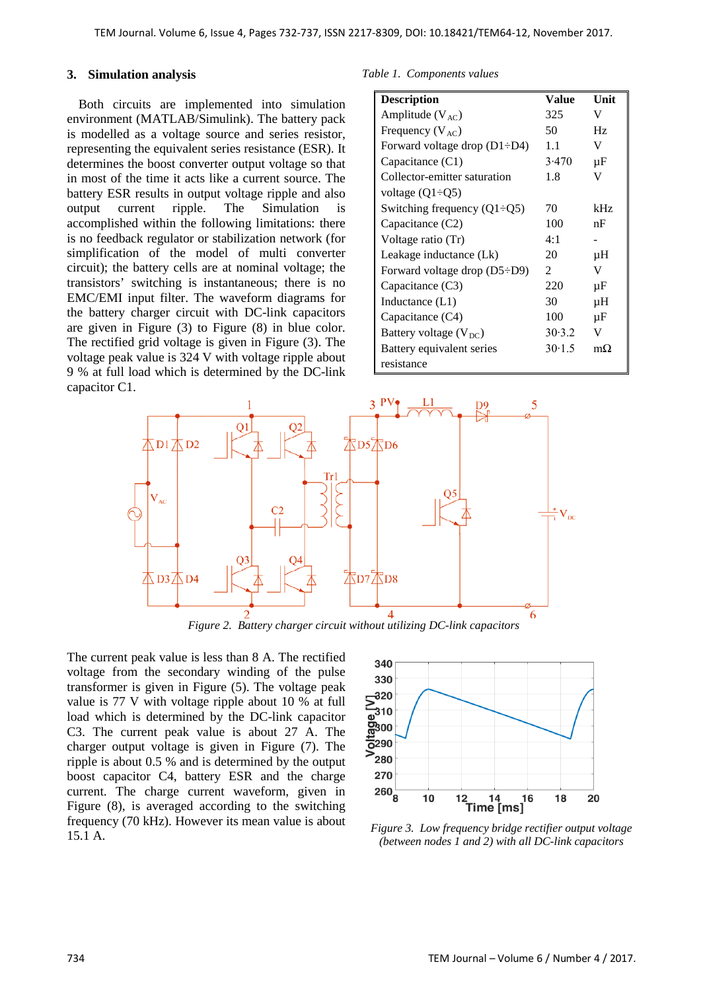### **3. Simulation analysis**

Both circuits are implemented into simulation environment (MATLAB/Simulink). The battery pack is modelled as a voltage source and series resistor, representing the equivalent series resistance (ESR). It determines the boost converter output voltage so that in most of the time it acts like a current source. The battery ESR results in output voltage ripple and also output current ripple. The Simulation is accomplished within the following limitations: there is no feedback regulator or stabilization network (for simplification of the model of multi converter circuit); the battery cells are at nominal voltage; the transistors' switching is instantaneous; there is no EMC/EMI input filter. The waveform diagrams for the battery charger circuit with DC-link capacitors are given in Figure (3) to Figure (8) in blue color. The rectified grid voltage is given in Figure (3). The voltage peak value is 324 V with voltage ripple about 9 % at full load which is determined by the DC-link capacitor C1.

*Table 1. Components values*

| <b>Description</b>                  | Value          | Unit      |
|-------------------------------------|----------------|-----------|
| Amplitude $(V_{AC})$                | 325            | V         |
| Frequency $(V_{AC})$                | 50.            | Hz        |
| Forward voltage drop $(D1 \div D4)$ | 1.1            | V         |
| Capacitance (C1)                    | 3.470          | μF        |
| Collector-emitter saturation        | 1.8            | V         |
| voltage $(Q1\div Q5)$               |                |           |
| Switching frequency $(Q1\div Q5)$   | 70             | kHz       |
| Capacitance $(C2)$                  | 100            | nF        |
| Voltage ratio (Tr)                  | 4:1            |           |
| Leakage inductance (Lk)             | 20             | μH        |
| Forward voltage drop $(D5 \div D9)$ | $\mathfrak{D}$ | V         |
| Capacitance $(C3)$                  | 220            | μF        |
| Inductance $(L1)$                   | 30             | μH        |
| Capacitance (C4)                    | 100            | μF        |
| Battery voltage $(V_{DC})$          | 30.3.2         | V         |
| Battery equivalent series           | 30.1.5         | $m\Omega$ |
| resistance                          |                |           |



*Figure 2. Battery charger circuit without utilizing DC-link capacitors*

The current peak value is less than 8 A. The rectified voltage from the secondary winding of the pulse transformer is given in Figure (5). The voltage peak value is 77 V with voltage ripple about 10 % at full load which is determined by the DC-link capacitor C3. The current peak value is about 27 A. The charger output voltage is given in Figure (7). The ripple is about 0.5 % and is determined by the output boost capacitor C4, battery ESR and the charge current. The charge current waveform, given in Figure (8), is averaged according to the switching frequency (70 kHz). However its mean value is about 15.1 A. *Figure 3. Low frequency bridge rectifier output voltage*



*(between nodes 1 and 2) with all DC-link capacitors*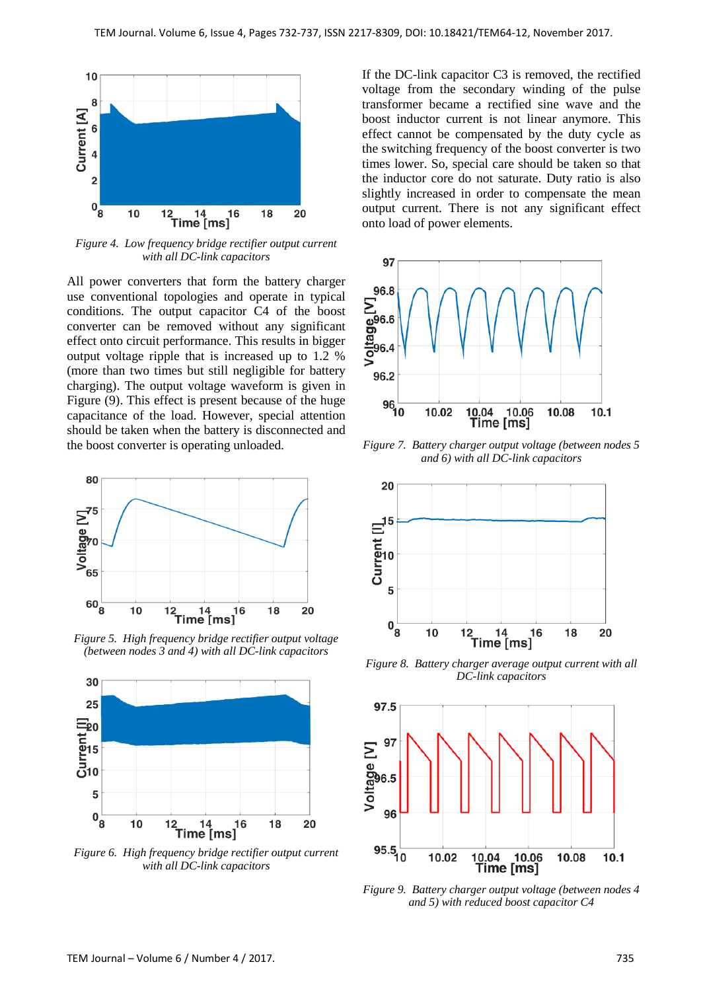

*Figure 4. Low frequency bridge rectifier output current with all DC-link capacitors*

All power converters that form the battery charger use conventional topologies and operate in typical conditions. The output capacitor C4 of the boost converter can be removed without any significant effect onto circuit performance. This results in bigger output voltage ripple that is increased up to 1.2 % (more than two times but still negligible for battery charging). The output voltage waveform is given in Figure (9). This effect is present because of the huge capacitance of the load. However, special attention should be taken when the battery is disconnected and the boost converter is operating unloaded.



*Figure 5. High frequency bridge rectifier output voltage (between nodes 3 and 4) with all DC-link capacitors*



*with all DC-link capacitors*

If the DC-link capacitor C3 is removed, the rectified voltage from the secondary winding of the pulse transformer became a rectified sine wave and the boost inductor current is not linear anymore. This effect cannot be compensated by the duty cycle as the switching frequency of the boost converter is two times lower. So, special care should be taken so that the inductor core do not saturate. Duty ratio is also slightly increased in order to compensate the mean output current. There is not any significant effect onto load of power elements.



*Figure 7. Battery charger output voltage (between nodes 5 and 6) with all DC-link capacitors*



*Figure 8. Battery charger average output current with all DC-link capacitors*



*Figure 9. Battery charger output voltage (between nodes 4 and 5) with reduced boost capacitor C4*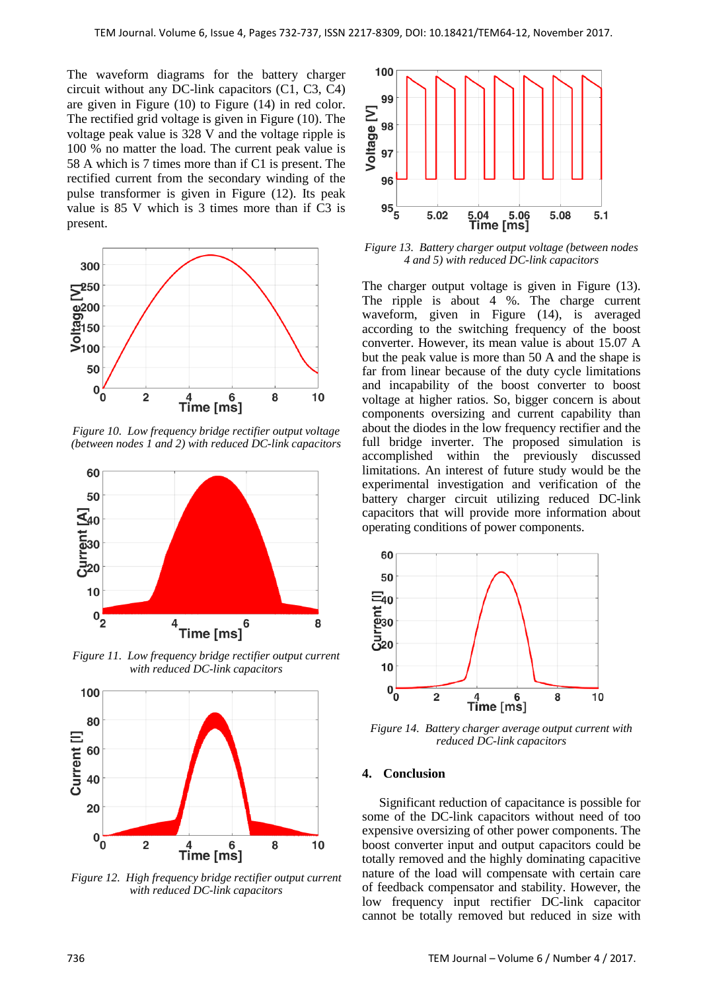The waveform diagrams for the battery charger circuit without any DC-link capacitors (C1, C3, C4) are given in Figure (10) to Figure (14) in red color. The rectified grid voltage is given in Figure (10). The voltage peak value is 328 V and the voltage ripple is 100 % no matter the load. The current peak value is 58 A which is 7 times more than if C1 is present. The rectified current from the secondary winding of the pulse transformer is given in Figure (12). Its peak value is 85 V which is 3 times more than if C3 is present.



*Figure 10. Low frequency bridge rectifier output voltage (between nodes 1 and 2) with reduced DC-link capacitors*



*Figure 11. Low frequency bridge rectifier output current with reduced DC-link capacitors*



*Figure 12. High frequency bridge rectifier output current with reduced DC-link capacitors*



*Figure 13. Battery charger output voltage (between nodes 4 and 5) with reduced DC-link capacitors*

The charger output voltage is given in Figure (13). The ripple is about 4 %. The charge current waveform, given in Figure (14), is averaged according to the switching frequency of the boost converter. However, its mean value is about 15.07 A but the peak value is more than 50 A and the shape is far from linear because of the duty cycle limitations and incapability of the boost converter to boost voltage at higher ratios. So, bigger concern is about components oversizing and current capability than about the diodes in the low frequency rectifier and the full bridge inverter. The proposed simulation is accomplished within the previously discussed limitations. An interest of future study would be the experimental investigation and verification of the battery charger circuit utilizing reduced DC-link capacitors that will provide more information about operating conditions of power components.



*Figure 14. Battery charger average output current with reduced DC-link capacitors*

#### **4. Conclusion**

Significant reduction of capacitance is possible for some of the DC-link capacitors without need of too expensive oversizing of other power components. The boost converter input and output capacitors could be totally removed and the highly dominating capacitive nature of the load will compensate with certain care of feedback compensator and stability. However, the low frequency input rectifier DC-link capacitor cannot be totally removed but reduced in size with